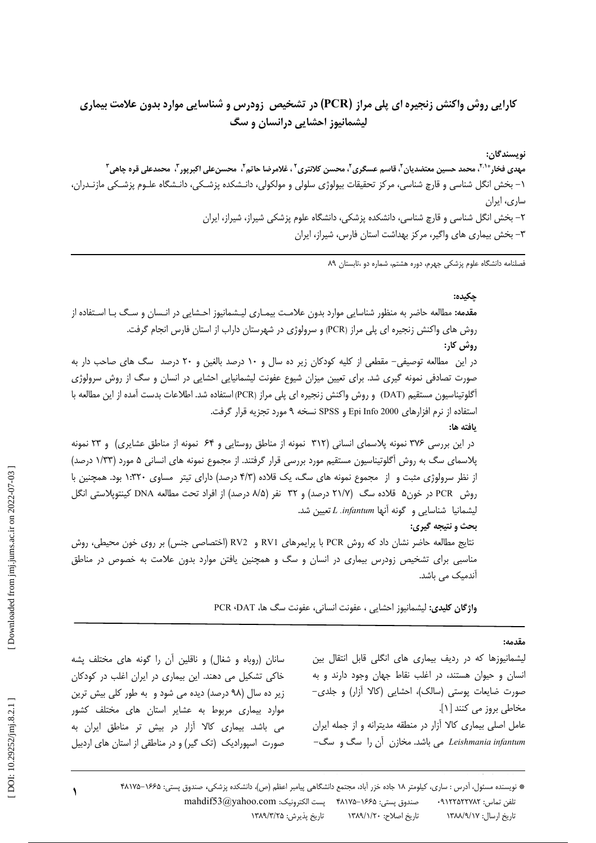# کارایی روش واکنش زنجیره ای پلی مراز (PCR) در تشخیص زودرس و شناسایی موارد بدون علامت بیماری لیشمانیوز احشایی درانسان و سگ

نويسندگان: مهدی فخار<sup>193</sup>، محمد حسین معتضدیان <sup>۲</sup>، قاسم عسگری <sup>۲</sup>، محسن کلانتری <sup>۲</sup> ، غلامرضا حاتم <sup>۲</sup>، محسن علی اکبرپور <sup>۳</sup>، محمدعلی قره چاهی <sup>۳</sup> ١– بخش انگل شناسی و قارچ شناسی، مرکز تحقیقات بیولوژی سلولی و مولکولی، دانـشکده پزشـکی، دانـشگاه علـوم پزشـکی مازنـدران، ساری، ایران ۲– بخش انگل شناسی و قارچ شناسی، دانشکده پزشکی، دانشگاه علوم پزشکی شیراز، شیراز، ایران ٣- بخش بيماري هاي واگير، مركز بهداشت استان فارس، شيراز، ايران

.<br>فصلنامه دانشگاه علوم یزشکی جهرم، دوره هشتم، شماره دو ،تابستان ۸۹

### چکیده:

**مقدمه:** مطالعه حاضر به منظور شناسایی موارد بدون علامت بیمـاری لیـشمانیوز احـشایی در انـسان و سـگ بـا اسـتفاده از روش های واکنش زنجیره ای پلی مراز (PCR) و سرولوژی در شهرستان داراب از استان فارس انجام گرفت. روش کار: در این ِ مطالعه توصیفی– مقطعی از کلیه کودکان زیر ده سال و ۱۰ درصد بالغین و ۲۰ درصد سگ های صاحب دار به صورت تصادفی نمونه گیری شد. برای تعیین میزان شیوع عفونت لیشمانیایی احشایی در انسان و سگ از روش سرولوژی أگلوتيناسيون مستقيم (DAT) و روش واكنش زنجيره اي يلي مراز (PCR) استفاده شد. اطلاعات بدست أمده از اين مطالعه با استفاده از نرم افزارهای Epi Info 2000 و SPSS نسخه ۹ مورد تجزیه قرار گرفت. ىافته ها: در این بررسی ۳۷۶ نمونه پلاسمای انسانی (۳۱۲ نمونه از مناطق روستایی و ۶۴ نمونه از مناطق عشایری) و ۲۳ نمونه پلاسمای سگ به روش آگلوتیناسیون مستقیم مورد بررسی قرار گرفتند. از مجموع نمونه های انسانی ۵ مورد (۱/۳۳ درصد) از نظر سرولوژی مثبت و از مجموع نمونه های سگ، یک قلاده (۴/۳ درصد) دارای تیتر مساوی ۱۳۲۰ بود. همچنین با روش PCR در خون۵ قلاده سگ (۲۱/۷ درصد) و ۳۲ نفر (۸/۵ درصد) از افراد تحت مطالعه DNA کینتوپلاستی انگل ليشمانيا شناسايي و گونه آنها L .infantum تعيين شد. بحث و نتیجه گیری: نتايج مطالعه حاضر نشان داد كه روش PCR با پرايمرهاي RV1 و RV2 (اختصاصي جنس) بر روى خون محيطى، روش مناسبی برای تشخیص زودرس بیماری در انسان و سگ و همچنین یافتن موارد بدون علامت به خصوص در مناطق آندمیک مے باشد.

واژگان کلیدی: لیشمانیوز احشایی ، عفونت انسانی، عفونت سگ ها، PCR ،DAT

### مقدمه:

لیشمانیوزها که در ردیف بیماری های انگلی قابل انتقال بین انسان و حیوان هستند، در اغلب نقاط جهان وجود دارند و به صورت ضایعات پوستی (سالک)، احشایی (کالا آزار) و جلدی-مخاطی بروز می کنند [۱]. عامل اصلی بیماری کالا آزار در منطقه مدیترانه و از جمله ایران Leishmania infantum می باشد. مخازن آن را سگ و سگ-

سانان (روباه و شغال) و ناقلین أن را گونه های مختلف پشه خاکی تشکیل می دهند. این بیماری در ایران اغلب در کودکان زیر ده سال (۹۸ درصد) دیده می شود و به طور کلی بیش ترین موارد بیماری مربوط به عشایر استان های مختلف کشور می باشد. بیماری کالا آزار در بیش تر مناطق ایران به صورت اسپورادیک (تک گیر) و در مناطقی از استان های اردبیل

> \* نویسنده مسئول، آدرس : ساری، کیلومتر ۱۸ جاده خزر آباد، مجتمع دانشگاهی پیامبر اعظم (ص)، دانشکده پزشکی، صندوق پستی: ۴۸۱۷۵-۴۸۱۷۵ تلفن تماس: ٩١٢٢٥٢٢٧٨٢. صندوق پستی: ۱۶۶۵–۴۸۱۷۵ – پست الکترونیک: mahdif53@yahoo.com تاریخ پذیرش: ۱۳۸۹/۳/۲۵ تاريخ ارسال: ١٣٨٨/٩/١٧ تاريخ اصلاح: ١٣٨٩/١/٢٠

 $\lambda$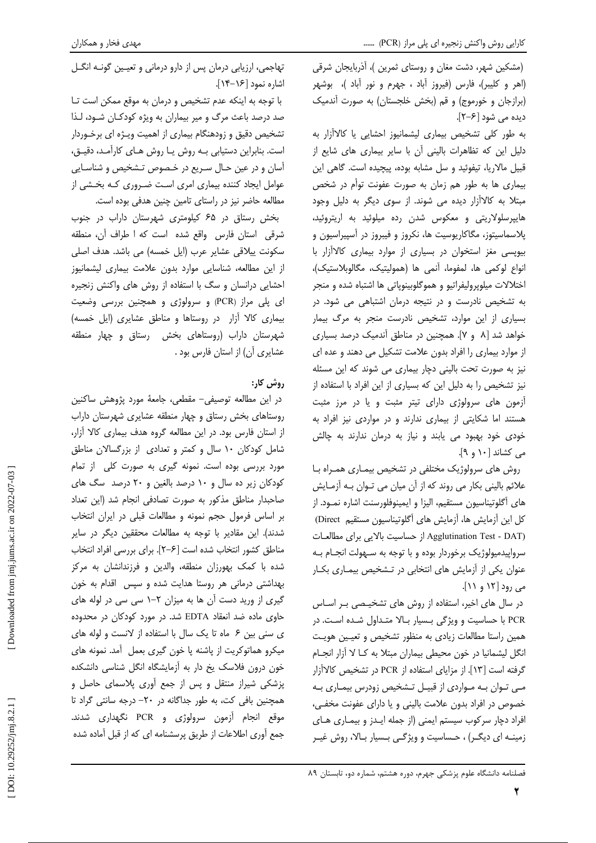(مشکین شهر، دشت مغان و روستای ثمرین )، آذربایجان شرقی (اهر و كليبر)، فارس (فيروز آباد ، جهرم و نور آباد )، بوشهر (برازجان و خورموج) و قم (بخش خلجستان) به صورت آندمیک ديده مي شود [۶–۲].

به طور کلی تشخیص بیماری لیشمانیوز احشایی یا کالاآزار به دلیل این که تظاهرات بالینی آن با سایر بیماری های شایع از قبیل مالاریا، تیفوئید و سل مشابه بوده، پیچیده است. گاهی این بیماری ها به طور هم زمان به صورت عفونت توأم در شخص مبتلا به کالاآزار دیده می شوند. از سوی دیگر به دلیل وجود هایپرسلولاریتی و معکوس شدن رده میلوئید به اریتروئید، پلاسماسیتوز، مگاکاریوسیت ها، نکروز و فیبروز در آسپیراسیون و بیوپسی مغز استخوان در بسیاری از موارد بیماری کالاآزار با انواع لوكمي ها، لمفوما، آنمي ها (هموليتيك، مگالوبلاستيك)، اختلالات ميلوپروليفراتيو و هموگلوبينوپاتي ها اشتباه شده و منجر به تشخیص نادرست و در نتیجه درمان اشتباهی می شود. در بسیاری از این موارد، تشخیص نادرست منجر به مرگ بیمار خواهد شد [۸ و ۷]. همچنین در مناطق آندمیک درصد بسیاری از موارد بیماری را افراد بدون علامت تشکیل می دهند و عده ای نیز به صورت تحت بالینی دچار بیماری می شوند که این مسئله نیز تشخیص را به دلیل این که بسیاری از این افراد با استفاده از آزمون های سرولوژی دارای تیتر مثبت و یا در مرز مثبت هستند اما شکایتی از بیماری ندارند و در مواردی نیز افراد به خودی خود بهبود می یابند و نیاز به درمان ندارند به چالش می کشاند [۱۰ و ۹].

روش های سرولوژیک مختلفی در تشخیص بیمـاری همـراه بـا علائم بالینی بکار می روند که از آن میان می تـوان بـه آزمـایش های آگلوتیناسیون مستقیم، الیزا و ایمینوفلورسنت اشاره نمـود. از كل اين آزمايش ها، آزمايش هاى آگلوتيناسيون مستقيم Direct) (Agglutination Test - DAT از حساسیت بالایی برای مطالعات سرواييدميولوژيک برخوردار بوده و با توجه به سـهولت انجــام بــه عنوان یکی از آزمایش های انتخابی در تـشخیص بیمـاری بکـار می رود [۱۲ و ۱۱].

در سال های اخیر، استفاده از روش های تشخیصی بـر اسـاس PCR با حساسیت و ویژگی بسیار بالا متـداول شـده اسـت. در همین راستا مطالعات زیادی به منظور تشخیص و تعیین هویت انگل لیشمانیا در خون محیطی بیماران مبتلا به کـا لا آزار انجـام گرفته است [١٣]. از مزاياي استفاده از PCR در تشخيص كالاآزار مے توان بـه مـواردی از قبیـل تـشخیص زودرس بیمـاری بـه خصوص در افراد بدون علامت بالینی و یا دارای عفونت مخفی، افراد دچار سرکوب سیستم ایمنی (از جمله ایـدز و بیمـاری هـای زمینـه ای دیگـر) ، حـساسیت و ویژگـی بـسیار بـالا، روش غیـر

تهاجمی، ارزیابی درمان پس از دارو درمانی و تعیین گونـه انگـل اشاره نمود [۱۶–۱۴].

با توجه به اینکه عدم تشخیص و درمان به موقع ممکن است تا صد درصد باعث مرگ و میر بیماران به ویژه کودکـان شـود، لـذا تشخیص دقیق و زودهنگام بیماری از اهمیت ویـژه ای برخـوردار است. بنابراین دستیابی بـه روش یـا روش هـای کارآمـد، دقیـق، آسان و در عین حـال سـریع در خـصوص تـشخیص و شناسـایی عوامل ایجاد کننده بیماری امری است ضـروری کـه بخـشی از مطالعه حاضر نیز در راستای تامین چنین هدفی بوده است.

بخش رستاق در ۶۵ کیلومتری شهرستان داراب در جنوب شرقی استان فارس واقع شده است که اطراف آن، منطقه سكونت ييلاقى عشاير عرب (ايل خمسه) مى باشد. هدف اصلى از این مطالعه، شناسایی موارد بدون علامت بیماری لیشمانیوز احشایی درانسان و سگ با استفاده از روش های واکنش زنجیره ای پلی مراز (PCR) و سرولوژی و همچنین بررسی وضعیت بیماری کالا آزار در روستاها و مناطق عشایری (ایل خمسه) شهرستان داراب (روستاهای بخش دستاق و چهار منطقه عشایری آن) از استان فارس بود .

# روش کار:

در این مطالعه توصیفی– مقطعی، جامعهٔ مورد پژوهش ساکنین روستاهای بخش رستاق و چهار منطقه عشایری شهرستان داراب از استان فارس بود. در این مطالعه گروه هدف بیماری کالا آزار، شامل کودکان ١٠ سال و کمتر و تعدادى از بزرگسالان مناطق مورد بررسی بوده است. نمونه گیری به صورت کلی از تمام کودکان زیر ده سال و ۱۰ درصد بالغین و ۲۰ درصد سگ های صاحبدار مناطق مذكور به صورت تصادفي انجام شد (اين تعداد بر اساس فرمول حجم نمونه و مطالعات قبلی در ایران انتخاب شدند). این مقادیر با توجه به مطالعات محققین دیگر در سایر مناطق كشور انتخاب شده است [۶–۲]. براي بررسي افراد انتخاب شده با کمک بهورزان منطقه، والدین و فرزندانشان به مرکز بهداشتی درمانی هر روستا هدایت شده و سپس اقدام به خون گیری از ورید دست آن ها به میزان ۲–۱ سی سی در لوله های حاوی ماده ضد انعقاد EDTA شد. در مورد کودکان در محدوده ی سنی بین ۶ ماه تا یک سال با استفاده از لانست و لوله های میکرو هماتوکریت از پاشنه پا خون گیری بعمل آمد. نمونه های خون درون فلاسک یخ دار به آزمایشگاه انگل شناسی دانشکده یزشکی شیراز منتقل و پس از جمع آوری پلاسمای حاصل و همچنین بافی کت، به طور جداگانه در ٢٠- درجه سانتی گراد تا موقع انجام آزمون سرولوژی و PCR نگهداری شدند. جمع أوري اطلاعات از طريق پرسشنامه اي كه از قبل أماده شده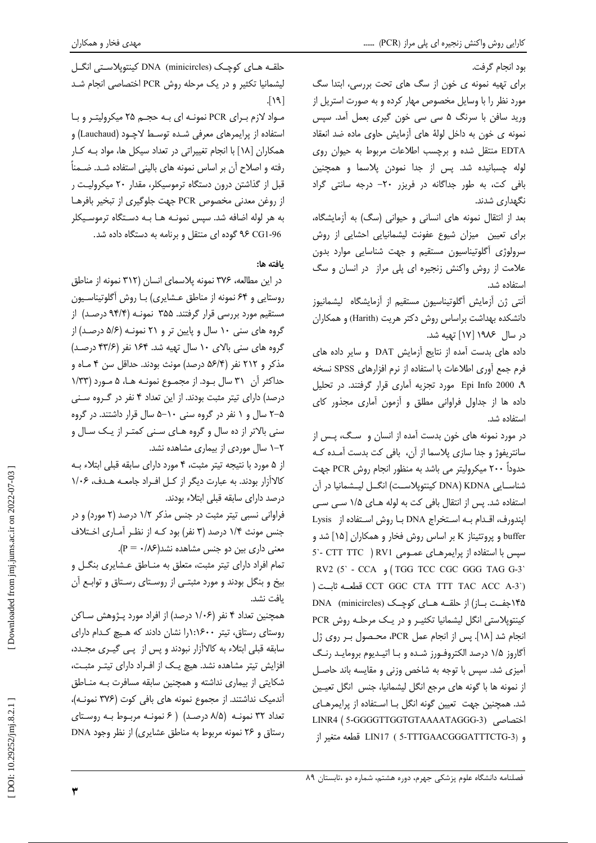ہود انحام گرفت.

برای تهیه نمونه ی خون از سگ های تحت بررسی، ابتدا سگ مورد نظر را با وسایل مخصوص مهار کرده و به صورت استریل از ورید سافن با سرنگ ۵ سی سی خون گیری بعمل آمد. سپس نمونه ی خون به داخل لولهٔ های آزمایش حاوی ماده ضد انعقاد EDTA منتقل شده و برچسب اطلاعات مربوط به حیوان روی لوله چسبانیده شد. پس از جدا نمودن پلاسما و همچنین بافی کت، به طور جداگانه در فریزر ٢٠- درجه سانتی گراد نگهداری شدند.

بعد از انتقال نمونه های انسانی و حیوانی (سگ) به آزمایشگاه، برای تعیین میزان شیوع عفونت لیشمانیایی احشایی از روش سرولوژی آگلوتیناسیون مستقیم و جهت شناسایی موارد بدون علامت از روش واکنش زنجیره ای پلی مراز در انسان و سگ استفاده شد.

آنتی ژن آزمایش آگلوتیناسیون مستقیم از آزمایشگاه لیشمانیوز دانشکده بهداشت براساس روش دکتر هریت (Harith) و همکاران در سال ۱۹۸۶ [۱۷] تهیه شد.

داده های بدست آمده از نتایج آزمایش DAT و سایر داده های فرم جمع آوري اطلاعات با استفاده از نرم افزارهاي SPSS نسخه ۹، Epi Info 2000 مورد تجزيه آماري قرار گرفتند. در تحليل داده ها از جداول فراواني مطلق و آزمون آماري مجذور كاي استفاده شد.

در مورد نمونه های خون بدست آمده از انسان و سگ، پس از سانتریفوژ و جدا سازی پلاسما از آن، بافی کت بدست آمـده کـه حدوداً ۲۰۰ میکرولیتر می باشد به منظور انجام روش PCR جهت شناســايي DNA) KDNA كينتويلاســت) انگــل ليــشمانيا در آن استفاده شد. پس از انتقال بافی کت به لوله هـای ۱/۵ سـی سـی اپندورف، اقـدام بـه اسـتخراج DNA بـا روش اسـتفاده از Lysis buffer و پروتئیناز K بر اساس روش فخار و همکاران [۱۵] شد و 5 - CTT TTC ) RV1 مسيس با استفاده از يرايمرهـاي عمـومي RV2 (5 - CCA ) (TGG TCC CGC GGG TAG G-3) (CCT GGC CTA TTT TAC ACC A-3) قطعــه ثابــت ( ۱۴۵جفت باز) از حلقـه هـای کوچـک (DNA (minicircles کینتوپلاستی انگل لیشمانیا تکثیـر و در یـک مرحلـه روش PCR انجام شد [١٨]. پس از انجام عمل PCR، محـصول بـر روى ژل آگاروز ۱/۵ درصد الکتروفـورز شـده و بـا اتيـديوم برومايـد رنـگ آمیزی شد. سپس با توجه به شاخص وزنی و مقایسه باند حاصـل از نمونه ها با گونه های مرجع انگل لیشمانیا، جنس انگل تعیین شد. همچنین جهت تعیین گونه انگل بـا اسـتفاده از پرایمرهـای LINR4 ( 5-GGGGTTGGTGTAAAATAGGG-3) رختصاصي و (5-TTTGAACGGGATTTCTG-3 قطعه متغير از

حلقـه هـاي کوچـک (DNA (minicircles کینتوپلاسـتی انگـل لیشمانیا تکثیر و در یک مرحله روش PCR اختصاصی انجام شد  $\lceil 19 \rceil$ 

مـواد لازم بـراي PCR نمونـه اي بـه حجـم ٢۵ ميكروليتـر و بـا استفاده از پرایمرهای معرفی شـده توسـط لاچـود (Lauchaud) و همکاران [۱۸] با انجام تغییراتی در تعداد سیکل ها، مواد بـه کـار رفته و اصلاح آن بر اساس نمونه های بالینی استفاده شـد. ضـمناً قبل از گذاشتن درون دستگاه ترموسیکلر، مقدار ۲۰ میکرولیت ر از روغن معدني مخصوص PCR جهت جلوگيري از تبخير بافرهـا به هر لوله اضافه شد. سپس نمونـه هـا بـه دسـتگاه ترموسـيكلر ۹۶ CG1-96 گوده ای منتقل و برنامه به دستگاه داده شد.

## يافته ها:

در این مطالعه، ۳۷۶ نمونه پلاسمای انسان (۳۱۲ نمونه از مناطق روستایی و ۶۴ نمونه از مناطق عـشایری) بـا روش أگلوتیناسـیون مستقیم مورد بررسی قرار گرفتند. ۳۵۵ نمونـه (۹۴/۴ درصـد) از گروه های سنی ۱۰ سال و پایین تر و ۲۱ نمونـه (۵/۶ درصـد) از گروه های سنی بالای ۱۰ سال تهیه شد. ۱۶۴ نفر (۴۳/۶ درصد) مذکر و ۲۱۲ نفر (۵۶/۴ درصد) مونث بودند. حداقل سن ۴ مـاه و حداکثر آن ۳۱ سال بود. از مجمـوع نمونـه هـا، ۵ مـورد (۱/۳۳ درصد) دارای تیتر مثبت بودند. از این تعداد ۴ نفر در گـروه سـنی ۵–۲ سال و ۱ نفر در گروه سنی ۱۰–۵ سال قرار داشتند. در گروه سنی بالاتر از ده سال و گروه هـای سـنی کمتـر از یـک سـال و ۲–۱ سال موردی از بیماری مشاهده نشد.

از ۵ مورد با نتیجه تیتر مثبت، ۴ مورد دارای سابقه قبلی ابتلاء به کالاآزار بودند. به عبارت دیگر از کل افـراد جامعـه هـدف، ۱/۰۶ درصد دارای سابقه قبلی ابتلاء بودند.

فراوانی نسبی تیتر مثبت در جنس مذکر ۱/۲ درصد (۲ مورد) و در جنس مونث ۱/۴ درصد (۳ نفر) بود کـه از نظـر آمـاری اخـتلاف معنی داری بین دو جنس مشاهده نشد(۰/۸۶ - P).

تمام افراد دارای تیتر مثبت، متعلق به منــاطق عــشایری بنگــل و بیخ و بنگل بودند و مورد مثبتی از روستای رستاق و توابـع آن ىافت نشد.

همچنین تعداد ۴ نفر (۱/۰۶ درصد) از افراد مورد پـژوهش سـاکن روستای رستاق، تیتر ۱۶۰۰(۱زا نشان دادند که هیچ کدام دارای سابقه قبلی ابتلاء به کالاآزار نبودند و پس از پـی گیـری مجـدد، افزایش تیتر مشاهده نشد. هیچ یک از اف راد دارای تیت رمثبت، شکایتی از بیماری نداشته و همچنین سابقه مسافرت بـه منـاطق آندمیک نداشتند. از مجموع نمونه های بافی کوت (۳۷۶ نمونـه)، تعداد ٣٢ نمونـه (٨/٥ درصـد) ( ۶ نمونـه مربـوط بـه روسـتاى رستاق و ٢۶ نمونه مربوط به مناطق عشايري) از نظر وجود DNA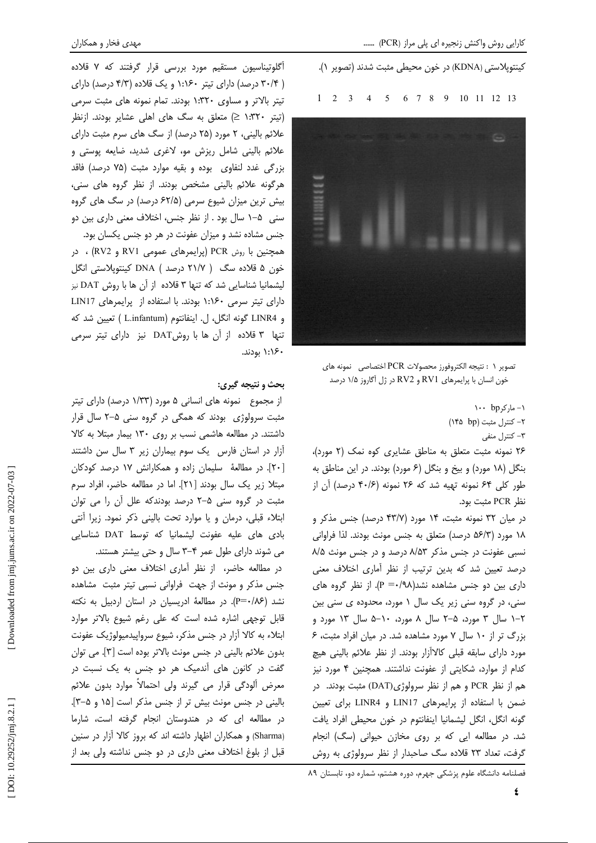كينتوپلاستى (KDNA) در خون محيطى مثبت شدند (تصوير ١).  $1 \t2 \t3 \t4 \t5 \t6 \t7 \t8 \t9 \t10 \t11 \t12 \t13$ 



تصوير ١ : نتيجه الكتروفورز محصولات PCR اختصاصى نمونه هاى خون انسان با پرایمرهای RV1 و RV2 در ژل آگاروز ۱/۵ درصد

> $\cdots$  bp ارکر $-1$ ٢- كنترل مثبت (١۴۵ ١۴۵) ۳- کنترل منفی

۲۶ نمونه مثبت متعلق به مناطق عشایری کوه نمک (۲ مورد)، بنگل (۱۸ مورد) و بیخ و بنگل (۶ مورد) بودند. در این مناطق به طور کلی ۶۴ نمونه تهیه شد که ۲۶ نمونه (۴۰/۶ درصد) أن از نظر PCR مثبت بود.

در میان ۳۲ نمونه مثبت، ۱۴ مورد (۴۳/۷ درصد) جنس مذکر و ۱۸ مورد (۵۶/۳ درصد) متعلق به جنس مونث بودند. لذا فراوانی نسبی عفونت در جنس مذکر ۸/۵۳ درصد و در جنس مونث ۸/۵ درصد تعیین شد که بدین ترتیب از نظر أماری اختلاف معنی داری بین دو جنس مشاهده نشد(۹۸/۰۰= P). از نظر گروه های سنی، در گروه سنی زیر یک سال ۱ مورد، محدوده ی سنی بین .<br>۲–۱ سال ۳ مورد، ۵–۲ سال ۸ مورد، ۰-۵ سال ۱۳ مورد و بزرگ تر از ۱۰ سال ۷ مورد مشاهده شد. در میان افراد مثبت، ۶ مورد دارای سابقه قبلی کالاآزار بودند. از نظر علائم بالینی هیچ کدام از موارد، شکایتی از عفونت نداشتند. همچنین ۴ مورد نیز هم از نظر PCR و هم از نظر سرولوژی(DAT) مثبت بودند. در ضمن با استفاده از پرایمرهای LIN17 و LINR4 برای تعیین گونه انگل، انگل لیشمانیا اینفانتوم در خون محیطی افراد یافت شد. در مطالعه ایی که بر روی مخازن حیوانی (سگ) انجام گرفت، تعداد ۲۳ قلاده سگ صاحبدار از نظر سرولوژی به روش

فصلنامه دانشگاه علوم پزشکی جهرم، دوره هشتم، شماره دو، تابستان ۸۹

أگلوتیناسیون مستقیم مورد بررسی قرار گرفتند که ۷ قلاده ( ۳۰/۴ درصد) دارای تیتر ۱:۱۶۰ و یک قلاده (۴/۳ درصد) دارای تیتر بالاتر و مساوی ١:٣٢٠ بودند. تمام نمونه های مثبت سرمی (تیتر ۱:۳۲۰ ≤) متعلق به سگ های اهلی عشایر بودند. ازنظر علائم بالینی، ۲ مورد (۲۵ درصد) از سگ های سرم مثبت دارای علائم بالینی شامل ریزش مو، لاغری شدید، ضایعه پوستی و بزرگی غدد لنفاوی بوده و بقیه موارد مثبت (۷۵ درصد) فاقد هرگونه علائم بالینی مشخص بودند. از نظر گروه های سنی، بیش ترین میزان شیوع سرمی (۶۲/۵ درصد) در سگ های گروه سنی ۵–۱ سال بود . از نظر جنس، اختلاف معنی داری بین دو جنس مشاده نشد و میزان عفونت در هر دو جنس یکسان بود. همچنین با روش PCR (پرایمرهای عمومی RV1 و RV2) ، در خون ۵ قلاده سگ ( ۲۱/۷ درصد ) DNA کینتوپلاستی انگل لیشمانیا شناسایی شد که تنها ۳ قلاده از آن ها با روش DAT نیز دارای تیتر سرمی ۱:۱۶۰ بودند. با استفاده از پرایمرهای LIN17 و LINR4 گونه انگل، ل. اينفانتوم (L.infantum ) تعيين شد كه تنها ۳ قلاده از أن ها با روشDAT نيز داراى تيتر سرمى ۱:۱۶۰ بودند.

### **بحث و نتيجه گيري:**

از مجموع نمونه های انسانی ۵ مورد (۱/۳۳ درصد) دارای تیتر مثبت سرولوژی۔بودند که همگی در گروه سنی ۵–۲ سال قرار داشتند. در مطالعه هاشمی نسب بر روی ۱۳۰ بیمار مبتلا به کالا آزار در استان فارس یک سوم بیماران زیر ۳ سال سن داشتند [۲۰]. در مطالعهٔ سلیمان زاده و همکارانش ۱۷ درصد کودکان مبتلا زیر یک سال بودند [۲۱]. اما در مطالعه حاضر، افراد سرم مثبت در گروه سنی ۵–۲ درصد بودندکه علل آن را می توان ابتلاء قبلی، درمان و یا موارد تحت بالینی ذکر نمود. زیرا أنتی بادی های علیه عفونت لیشمانیا که توسط DAT شناسایی می شوند دارای طول عمر ۴–۳ سال و حتی بیشتر هستند.

در مطالعه حاضر، از نظر أماري اختلاف معنى دارى بين دو جنس مذکر و مونث از جهت فراوانی نسبی تیتر مثبت مشاهده نشد (P=٠/٨۶). در مطالعهٔ ادریسیان در استان اردبیل به نکته قابل توجهی اشاره شده است که علی رغم شیوع بالاتر موارد ابتلاء به کالا آزار در جنس مذکر، شیوع سرواپیدمیولوژیک عفونت بدون علائم باليني در جنس مونث بالاتر بوده است [٣]. مي توان گفت در کانون های آندمیک هر دو جنس به یک نسبت در معرض ألودگي قرار مي گيرند ولي احتمالاً موارد بدون علائم بالینی در جنس مونث بیش تر از جنس مذکر است [۱۵ و ۵−۳]. در مطالعه ای که در هندوستان انجام گرفته است، شارما (Sharma) و همکاران اظهار داشته اند که بروز کالا آزار در سنین قبل از بلوغ اختلاف معنی داری در دو جنس نداشته ولی بعد از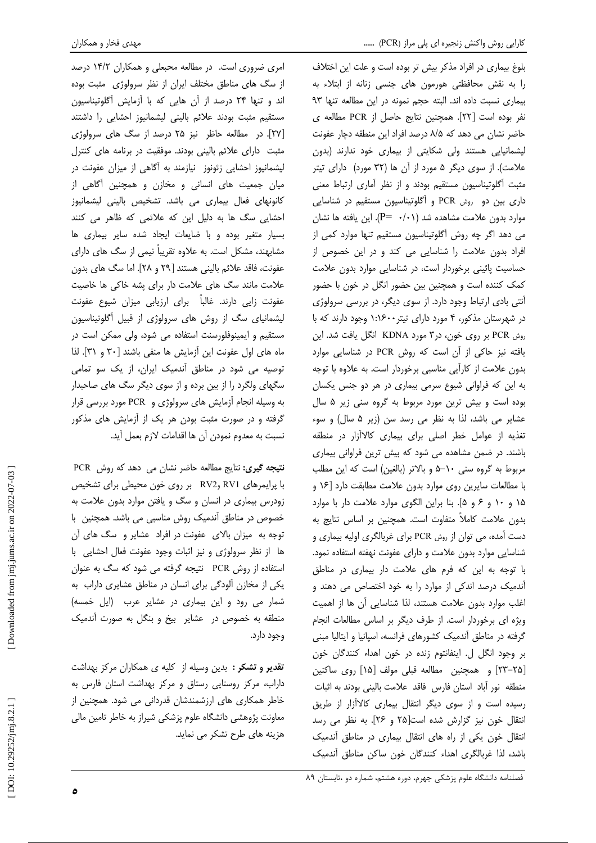امری ضروری است. در مطالعه محبعلی و همکاران ١۴/٢ درصد از سگ های مناطق مختلف ایران از نظر سرولوژی مثبت بوده اند و تنها ٢۴ درصد از آن هایی که با آزمایش آگلوتیناسیون مستقیم مثبت بودند علائم بالینی لیشمانیوز احشایی را داشتند [۲۷]. در مطالعه حاظر نیز ۲۵ درصد از سگ های سرولوژی مثبت دارای علائم بالینی بودند. موفقیت در برنامه های کنترل لیشمانیوز احشایی زئونوز نیازمند به آگاهی از میزان عفونت در میان جمعیت های انسانی و مخازن و همچنین آگاهی از کانونهای فعال بیماری می باشد. تشخیص بالینی لیشمانیوز احشایی سگ ها به دلیل این که علائمی که ظاهر می کنند بسیار متغیر بوده و با ضایعات ایجاد شده سایر بیماری ها مشابهند، مشکل است. به علاوه تقریباً نیمی از سگ های دارای عفونت، فاقد علائم باليني هستند [٢٩ و ٢٨]. اما سگ هاي بدون علامت مانند سگ های علامت دار برای پشه خاکی ها خاصیت عفونت زایی دارند. غالباً برای ارزیابی میزان شیوع عفونت لیشمانیای سگ از روش های سرولوژی از قبیل آگلوتیناسیون مستقیم و ایمینوفلورسنت استفاده می شود، ولی ممکن است در ماه های اول عفونت این آزمایش ها منفی باشند [۳۰ و ۳۱]. لذا توصیه می شود در مناطق آندمیک ایران، از یک سو تمامی سگهای ولگرد را از بین برده و از سوی دیگر سگ های صاحبدار به وسیله انجام آزمایش های سرولوژی و PCR مورد بررسی قرار گرفته و در صورت مثبت بودن هر یک از آزمایش های مذکور نسبت به معدوم نمودن آن ها اقدامات لازم بعمل آيد.

نتیجه گیری: نتایج مطالعه حاضر نشان می دهد که روش PCR با پرایمرهای RV1 وRV2 بر روی خون محیطی برای تشخیص زودرس بیماری در انسان و سگ و یافتن موارد بدون علامت به خصوص در مناطق أندمیک روش مناسبی می باشد. همچنین با توجه به میزان بالای عفونت در افراد عشایر و سگ های آن ها از نظر سرولوژی و نیز اثبات وجود عفونت فعال احشایی با استفاده از روش PCR تتيجه گرفته مي شود كه سگ به عنوان یکی از مخازن آلودگی برای انسان در مناطق عشایری داراب به شمار می رود و این بیماری در عشایر عرب (ایل خمسه) منطقه به خصوص در عشایر بیخ و بنگل به صورت آندمیک وجود دارد.

**تقدیر و تشکر :** بدین وسیله از کلیه ی همکاران مرکز بهداشت داراب، مرکز روستایی رستاق و مرکز بهداشت استان فارس به خاطر همکاری های ارزشمندشان قدردانی می شود. همچنین از معاونت پژوهشی دانشگاه علوم پزشکی شیراز به خاطر تامین مالی هزینه های طرح تشکر می نماید. بلوغ بیماری در افراد مذکر بیش تر بوده است و علت این اختلاف را به نقش محافظتی هورمون های جنسی زنانه از ابتلاء به بيماري نسبت داده اند. البته حجم نمونه در اين مطالعه تنها ٩٣ نفر بوده است [٢٢]. همچنين نتايج حاصل از PCR مطالعه ى حاضر نشان می دهد که ٨/٥ درصد افراد این منطقه دچار عفونت لیشمانیایی هستند ولی شکایتی از بیماری خود ندارند (بدون علامت). از سوی دیگر ۵ مورد از آن ها (۳۲ مورد) دارای تیتر مثبت أگلوتيناسيون مستقيم بودند و از نظر أماري ارتباط معنى داری بین دو روش PCR و آگلوتیناسیون مستقیم در شناسایی موارد بدون علامت مشاهده شد (۰/۱/۰ =P). این یافته ها نشان می دهد اگر چه روش آگلوتیناسیون مستقیم تنها موارد کمی از افراد بدون علامت را شناسایی می کند و در این خصوص از حساسیت یائینی برخوردار است، در شناسایی موارد بدون علامت کمک کننده است و همچنین بین حضور انگل در خون با حضور آنتی بادی ارتباط وجود دارد. از سوی دیگر، در بررسی سرولوژی در شهرستان مذکور، ۴ مورد دارای تیتر ۱:۱۶۰۰ وجود دارند که با روش PCR بر روی خون، در ۳ مورد KDNA انگل یافت شد. این یافته نیز حاکی از آن است که روش PCR در شناسایی موارد بدون علامت از كارآيي مناسبي برخوردار است. به علاوه با توجه به این که فراوانی شیوع سرمی بیماری در هر دو جنس یکسان بوده است و بیش ترین مورد مربوط به گروه سنی زیر ۵ سال عشایر می باشد، لذا به نظر می رسد سن (زیر ۵ سال) و سوء تغذیه از عوامل خطر اصلی برای بیماری کالاآزار در منطقه باشند. در ضمن مشاهده می شود که بیش ترین فراوانی بیماری مربوط به گروه سنی ١٠-۵ و بالاتر (بالغین) است كه این مطلب با مطالعات سایرین روی موارد بدون علامت مطابقت دارد [۱۶ و ۱۵ و ۱۰ و ۶ و ۵]. بنا براین الگوی موارد علامت دار با موارد بدون علامت كاملاً متفاوت است. همچنین بر اساس نتایج به دست آمده، می توان از روش PCR برای غربالگری اولیه بیماری و شناسایی موارد بدون علامت و دارای عفونت نهفته استفاده نمود. با توجه به این که فرم های علامت دار بیماری در مناطق آندمیک درصد اندکی از موارد را به خود اختصاص می دهند و اغلب موارد بدون علامت هستند، لذا شناسایی آن ها از اهمیت ویژه ای برخوردار است. از طرف دیگر بر اساس مطالعات انجام گرفته در مناطق أندميک کشورهای فرانسه، اسپانيا و ايتاليا مبنى بر وجود انگل ل. اینفانتوم زنده در خون اهداء کنندگان خون [۲۵-۲۳] و همچنین مطالعه قبلی مولف [۱۵] روی ساکنین منطقه نور آباد استان فارس فاقد علامت باليني بودند به اثبات رسیده است و از سوی دیگر انتقال بیماری کالاآزار از طریق انتقال خون نیز گزارش شده است[۲۵ و ۲۶]. به نظر می رسد انتقال خون یکی از راه های انتقال بیماری در مناطق أندمیک باشد، لذا غربالكرى اهداء كنندگان خون ساكن مناطق أندميك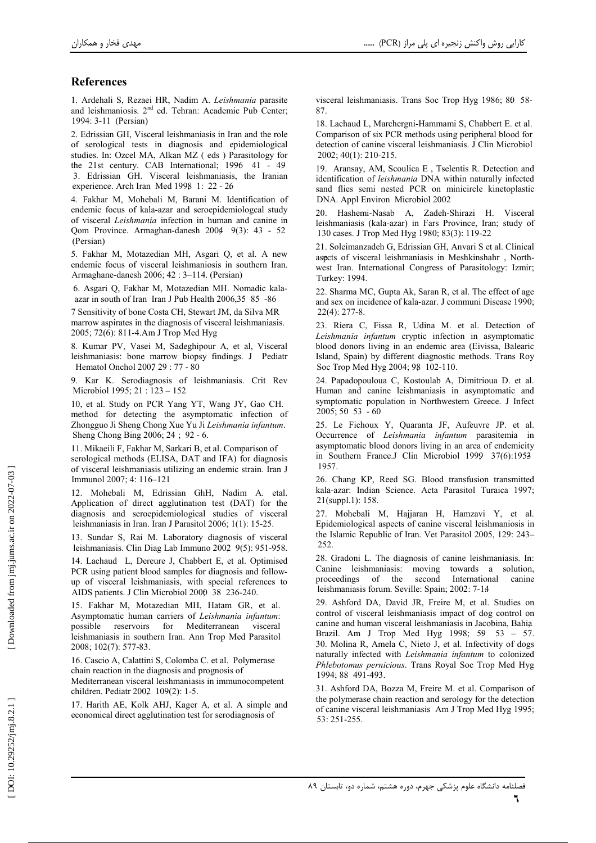## **References**

1. Ardehali S, Rezaei HR, Nadim A. Leishmania parasite and leishmaniosis. 2<sup>nd</sup> ed. Tehran: Academic Pub Center; 1994: 3-11 (Persian)

2. Edrissian GH, Visceral leishmaniasis in Iran and the role of serological tests in diagnosis and epidemiological studies. In: Ozcel MA, Alkan MZ (eds) Parasitology for the 21st century. CAB International; 1996 41 - 49 3. Edrissian GH. Visceral leishmaniasis, the Iranian experience. Arch Iran Med 1998 1: 22 - 26

4. Fakhar M, Mohebali M, Barani M. Identification of endemic focus of kala-azar and seroepidemiologcal study of visceral Leishmania infection in human and canine in Qom Province. Armaghan-danesh 2004 9(3): 43 - 52 (Persian)

5. Fakhar M, Motazedian MH, Asgari Q, et al. A new endemic focus of visceral leishmaniosis in southern Iran. Armaghane-danesh 2006; 42 : 3-114. (Persian)

6. Asgari Q, Fakhar M, Motazedian MH. Nomadic kalaazar in south of Iran Iran J Pub Health 2006,35 85 -86

7 Sensitivity of bone Costa CH, Stewart JM, da Silva MR marrow aspirates in the diagnosis of visceral leishmaniasis. 2005; 72(6): 811-4.Am J Trop Med Hyg

8. Kumar PV, Vasei M, Sadeghipour A, et al. Visceral leishmaniasis: bone marrow biopsy findings. J Pediatr Hematol Onchol 2007 29:77 - 80

Kar K. Serodiagnosis of leishmaniasis. Crit Rev Microbiol 1995; 21:123-152

10, et al. Study on PCR Yang YT, Wang JY, Gao CH. method for detecting the asymptomatic infection of Zhongguo Ji Sheng Chong Xue Yu Ji Leishmania infantum. Sheng Chong Bing 2006; 24 ; 92 - 6.

11. Mikaeili F, Fakhar M, Sarkari B, et al. Comparison of serological methods (ELISA, DAT and IFA) for diagnosis of visceral leishmaniasis utilizing an endemic strain. Iran J Immunol 2007; 4: 116-121

12. Mohebali M, Edrissian GhH, Nadim A. etal. Application of direct agglutination test (DAT) for the diagnosis and seroepidemiological studies of visceral leishmaniasis in Iran. Iran J Parasitol 2006; 1(1): 15-25.

13. Sundar S, Rai M. Laboratory diagnosis of visceral leishmaniasis. Clin Diag Lab Immuno 2002 9(5): 951-958.

14. Lachaud L, Dereure J, Chabbert E, et al. Optimised PCR using patient blood samples for diagnosis and followup of visceral leishmaniasis, with special references to AIDS patients. J Clin Microbiol 2000 38 236-240.

15. Fakhar M, Motazedian MH, Hatam GR, et al. Asymptomatic human carriers of Leishmania infantum: reservoirs for Mediterranean possible visceral leishmaniasis in southern Iran. Ann Trop Med Parasitol 2008; 102(7): 577-83.

16. Cascio A, Calattini S, Colomba C, et al. Polymerase chain reaction in the diagnosis and prognosis of Mediterranean visceral leishmaniasis in immunocompetent children. Pediatr 2002 109(2): 1-5.

17. Harith AE, Kolk AHJ, Kager A, et al. A simple and economical direct agglutination test for serodiagnosis of

visceral leishmaniasis. Trans Soc Trop Hyg 1986; 80 58-87

18. Lachaud L, Marchergni-Hammami S, Chabbert E. et al. Comparison of six PCR methods using peripheral blood for detection of canine visceral leishmaniasis. J Clin Microbiol  $2002; 40(1): 210-215.$ 

19. Aransay, AM, Scoulica E, Tselentis R. Detection and identification of leishmania DNA within naturally infected sand flies semi nested PCR on minicircle kinetoplastic DNA. Appl Environ Microbiol 2002

20. Hashemi-Nasab A, Zadeh-Shirazi H. Visceral leishmaniasis (kala-azar) in Fars Province, Iran; study of 130 cases. J Trop Med Hyg 1980; 83(3): 119-22

21. Soleimanzadeh G, Edrissian GH, Anvari S et al. Clinical aspets of visceral leishmaniasis in Meshkinshahr, Northwest Iran. International Congress of Parasitology: Izmir; Turkey: 1994.

22. Sharma MC, Gupta Ak, Saran R, et al. The effect of age and sex on incidence of kala-azar. J communi Disease 1990;  $22(4): 277-8.$ 

23. Riera C, Fissa R, Udina M. et al. Detection of Leishmania infantum cryptic infection in asymptomatic blood donors living in an endemic area (Eivissa, Balearic Island, Spain) by different diagnostic methods. Trans Roy Soc Trop Med Hyg 2004; 98 102-110.

24. Papadopouloua C, Kostoulab A, Dimitrioua D. et al. Human and canine leishmaniasis in asymptomatic and symptomatic population in Northwestern Greece. J Infect  $2005; 5053 - 60$ 

25. Le Fichoux Y, Quaranta JF, Aufeuvre JP. et al. Occurrence of Leishmania infantum parasitemia in asymptomatic blood donors living in an area of endemicity in Southern France.J Clin Microbiol 1999 37(6):1953 1957.

26. Chang KP, Reed SG. Blood transfusion transmitted kala-azar: Indian Science. Acta Parasitol Turaica 1997; 21(suppl.1): 158.

27. Mohebali M, Hajjaran H, Hamzavi Y, et al. Epidemiological aspects of canine visceral leishmaniosis in the Islamic Republic of Iran. Vet Parasitol 2005, 129: 243-252.

28. Gradoni L. The diagnosis of canine leishmaniasis. In: Canine leishmaniasis: moving towards a solution, proceedings of the second International canine leishmaniasis forum. Seville: Spain; 2002: 7-14

29. Ashford DA, David JR, Freire M, et al. Studies on control of visceral leishmaniasis impact of dog control on canine and human visceral leishmaniasis in Jacobina, Bahia Brazil. Am J Trop Med Hyg 1998; 59 53 - 57. 30. Molina R, Amela C, Nieto J, et al. Infectivity of dogs naturally infected with Leishmania infantum to colonized Phlebotomus pernicious. Trans Royal Soc Trop Med Hyg 1994: 88 491-493.

31. Ashford DA, Bozza M, Freire M. et al. Comparison of the polymerase chain reaction and serology for the detection of canine visceral leishmaniasis Am J Trop Med Hyg 1995; 53: 251-255.

Downloaded from jmj.jums.ac.ir on 2022-07-03